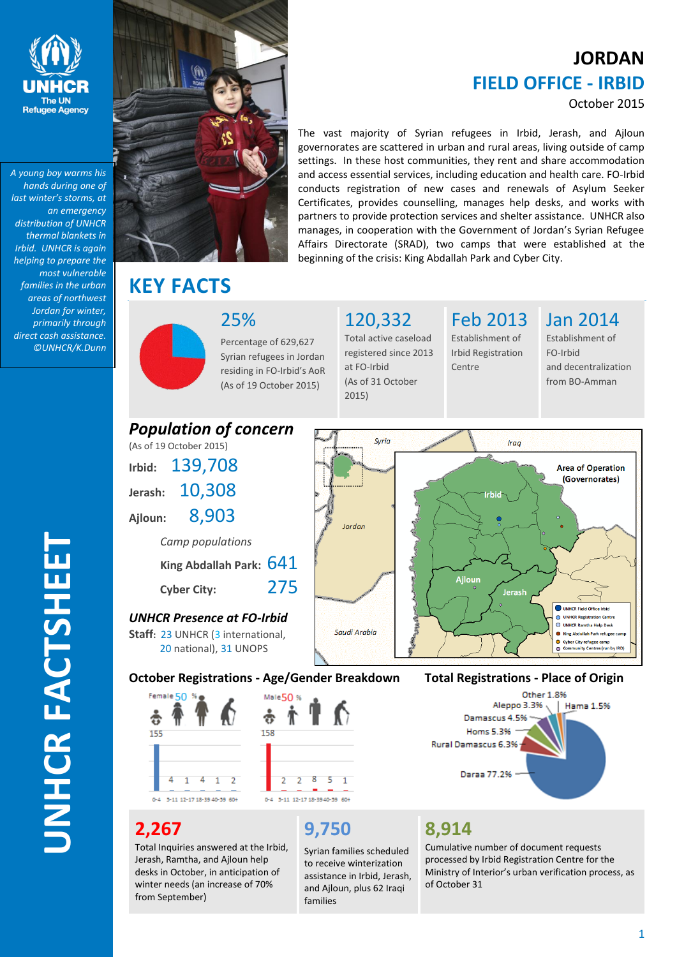

*A young boy warms his hands during one of last winter's storms, at an emergency distribution of UNHCR thermal blankets in Irbid. UNHCR is again helping to prepare the most vulnerable families in the urban areas of northwest Jordan for winter, primarily through direct cash assistance. ©UNHCR/K.Dunn*



**KEY FACTS** 

# **JORDAN FIELD OFFICE - IRBID**

### October 2015

The vast majority of Syrian refugees in Irbid, Jerash, and Ajloun governorates are scattered in urban and rural areas, living outside of camp settings. In these host communities, they rent and share accommodation and access essential services, including education and health care. FO-Irbid conducts registration of new cases and renewals of Asylum Seeker Certificates, provides counselling, manages help desks, and works with partners to provide protection services and shelter assistance. UNHCR also manages, in cooperation with the Government of Jordan's Syrian Refugee Affairs Directorate (SRAD), two camps that were established at the beginning of the crisis: King Abdallah Park and Cyber City.

25%

Percentage of 629,627 Syrian refugees in Jordan residing in FO-Irbid's AoR (As of 19 October 2015)

120,332 Total active caseload registered since 2013 at FO-Irbid (As of 31 October 2015)

Feb 2013 Establishment of Irbid Registration

Centre

Jan 2014

Establishment of FO-Irbid and decentralization from BO-Amman



# **2,267**

Total Inquiries answered at the Irbid, Jerash, Ramtha, and Ajloun help desks in October, in anticipation of winter needs (an increase of 70% from September)

# **9,750**

Syrian families scheduled to receive winterization assistance in Irbid, Jerash, and Ajloun, plus 62 Iraqi families

## **8,914**

Cumulative number of document requests processed by Irbid Registration Centre for the Ministry of Interior's urban verification process, as of October 31

# **UNHCR FACTSHEET UNHCR FACTSHEE**